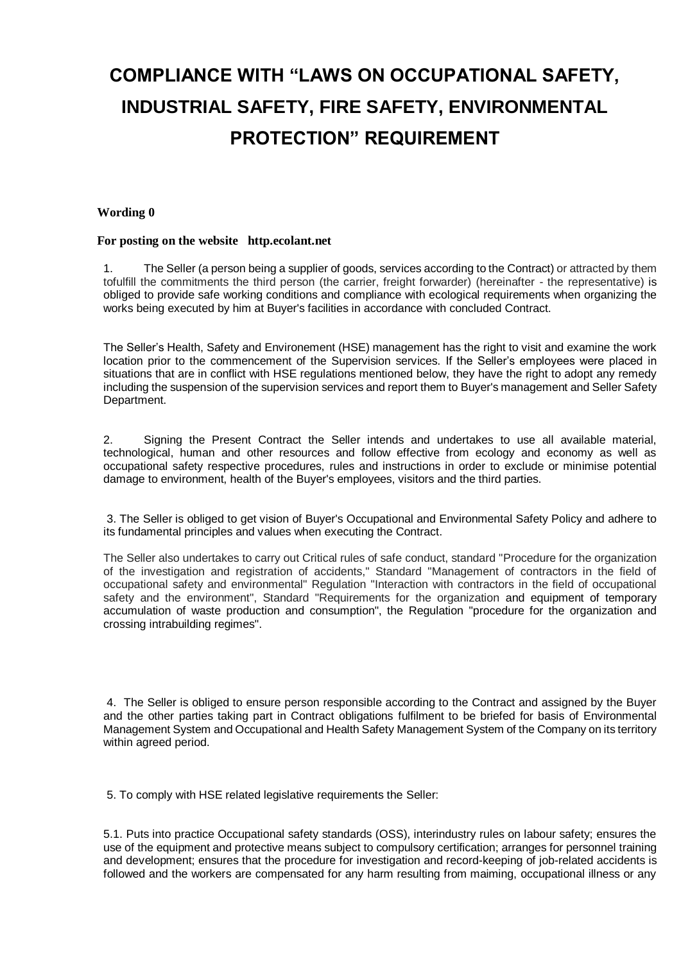# **COMPLIANCE WITH "LAWS ON OCCUPATIONAL SAFETY, INDUSTRIAL SAFETY, FIRE SAFETY, ENVIRONMENTAL PROTECTION" REQUIREMENT**

### **Wording 0**

#### **For posting on the website http.ecolant.net**

1. The Seller (a person being a supplier of goods, services according to the Contract) or attracted by them tofulfill the commitments the third person (the carrier, freight forwarder) (hereinafter - the representative) is obliged to provide safe working conditions and compliance with ecological requirements when organizing the works being executed by him at Buyer's facilities in accordance with concluded Contract.

The Seller's Health, Safety and Environement (HSE) management has the right to visit and examine the work location prior to the commencement of the Supervision services. If the Seller's employees were placed in situations that are in conflict with HSE regulations mentioned below, they have the right to adopt any remedy including the suspension of the supervision services and report them to Buyer's management and Seller Safety Department.

2. Signing the Present Contract the Seller intends and undertakes to use all available material, technological, human and other resources and follow effective from ecology and economy as well as occupational safety respective procedures, rules and instructions in order to exclude or minimise potential damage to environment, health of the Buyer's employees, visitors and the third parties.

3. The Seller is obliged to get vision of Buyer's Occupational and Environmental Safety Policy and adhere to its fundamental principles and values when executing the Contract.

The Seller also undertakes to carry out Critical rules of safe conduct, standard "Procedure for the organization of the investigation and registration of accidents," Standard "Management of contractors in the field of occupational safety and environmental" Regulation "Interaction with contractors in the field of occupational safety and the environment", Standard "Requirements for the organization and equipment of temporary accumulation of waste production and consumption", the Regulation "procedure for the organization and crossing intrabuilding regimes".

4. The Seller is obliged to ensure person responsible according to the Contract and assigned by the Buyer and the other parties taking part in Contract obligations fulfilment to be briefed for basis of Environmental Management System and Occupational and Health Safety Management System of the Company on its territory within agreed period.

5. To comply with HSE related legislative requirements the Seller:

5.1. Puts into practice Occupational safety standards (OSS), interindustry rules on labour safety; ensures the use of the equipment and protective means subject to compulsory certification; arranges for personnel training and development; ensures that the procedure for investigation and record-keeping of job-related accidents is followed and the workers are compensated for any harm resulting from maiming, occupational illness or any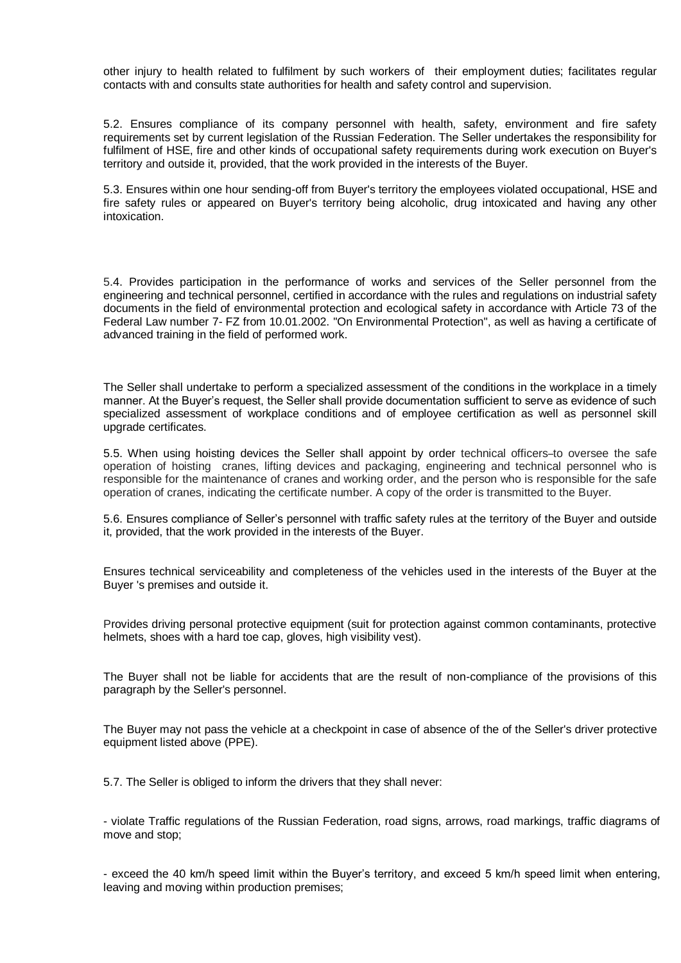other injury to health related to fulfilment by such workers of their employment duties; facilitates regular contacts with and consults state authorities for health and safety control and supervision.

5.2. Ensures compliance of its company personnel with health, safety, environment and fire safety requirements set by current legislation of the Russian Federation. The Seller undertakes the responsibility for fulfilment of HSE, fire and other kinds of occupational safety requirements during work execution on Buyer's territory and outside it, provided, that the work provided in the interests of the Buyer.

5.3. Ensures within one hour sending-off from Buyer's territory the employees violated occupational, HSE and fire safety rules or appeared on Buyer's territory being alcoholic, drug intoxicated and having any other intoxication.

5.4. Provides participation in the performance of works and services of the Seller personnel from the engineering and technical personnel, certified in accordance with the rules and regulations on industrial safety documents in the field of environmental protection and ecological safety in accordance with Article 73 of the Federal Law number 7- FZ from 10.01.2002. "On Environmental Protection", as well as having a certificate of advanced training in the field of performed work.

The Seller shall undertake to perform a specialized assessment of the conditions in the workplace in a timely manner. At the Buyer's request, the Seller shall provide documentation sufficient to serve as evidence of such specialized assessment of workplace conditions and of employee certification as well as personnel skill upgrade certificates.

5.5. When using hoisting devices the Seller shall appoint by order technical officers–to oversee the safe operation of hoisting cranes, lifting devices and packaging, engineering and technical personnel who is responsible for the maintenance of cranes and working order, and the person who is responsible for the safe operation of cranes, indicating the certificate number. A copy of the order is transmitted to the Buyer.

5.6. Ensures compliance of Seller's personnel with traffic safety rules at the territory of the Buyer and outside it, provided, that the work provided in the interests of the Buyer.

Ensures technical serviceability and completeness of the vehicles used in the interests of the Buyer at the Buyer 's premises and outside it.

Provides driving personal protective equipment (suit for protection against common contaminants, protective helmets, shoes with a hard toe cap, gloves, high visibility vest).

The Buyer shall not be liable for accidents that are the result of non-compliance of the provisions of this paragraph by the Seller's personnel.

The Buyer may not pass the vehicle at a checkpoint in case of absence of the of the Seller's driver protective equipment listed above (PPE).

5.7. The Seller is obliged to inform the drivers that they shall never:

- violate Traffic regulations of the Russian Federation, road signs, arrows, road markings, traffic diagrams of move and stop;

- exceed the 40 km/h speed limit within the Buyer's territory, and exceed 5 km/h speed limit when entering, leaving and moving within production premises;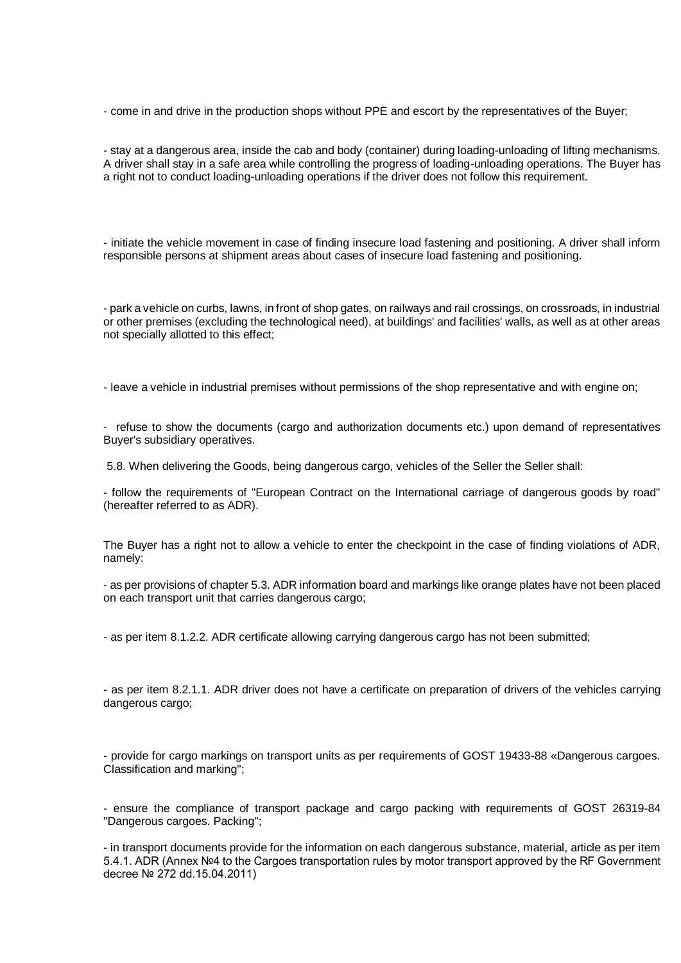- come in and drive in the production shops without PPE and escort by the representatives of the Buyer;

- stay at a dangerous area, inside the cab and body (container) during loading-unloading of lifting mechanisms. A driver shall stay in a safe area while controlling the progress of loading-unloading operations. The Buyer has a right not to conduct loading-unloading operations if the driver does not follow this requirement.

- initiate the vehicle movement in case of finding insecure load fastening and positioning. A driver shall inform responsible persons at shipment areas about cases of insecure load fastening and positioning.

- park a vehicle on curbs, lawns, in front of shop gates, on railways and rail crossings, on crossroads, in industrial or other premises (excluding the technological need), at buildings' and facilities' walls, as well as at other areas not specially allotted to this effect;

- leave a vehicle in industrial premises without permissions of the shop representative and with engine on;

- refuse to show the documents (cargo and authorization documents etc.) upon demand of representatives Buyer's subsidiary operatives.

5.8. When delivering the Goods, being dangerous cargo, vehicles of the Seller the Seller shall:

- follow the requirements of "European Contract on the International carriage of dangerous goods by road" (hereafter referred to as ADR).

The Buyer has a right not to allow a vehicle to enter the checkpoint in the case of finding violations of ADR, namely:

- as per provisions of chapter 5.3. ADR information board and markings like orange plates have not been placed on each transport unit that carries dangerous cargo;

- as per item 8.1.2.2. ADR certificate allowing carrying dangerous cargo has not been submitted;

- as per item 8.2.1.1. ADR driver does not have a certificate on preparation of drivers of the vehicles carrying dangerous cargo;

- provide for cargo markings on transport units as per requirements of GOST 19433-88 «Dangerous cargoes. Classification and marking";

- ensure the compliance of transport package and cargo packing with requirements of GOST 26319-84 "Dangerous cargoes. Packing";

- in transport documents provide for the information on each dangerous substance, material, article as per item 5.4.1. ADR (Annex №4 to the Cargoes transportation rules by motor transport approved by the RF Government decree № 272 dd.15.04.2011)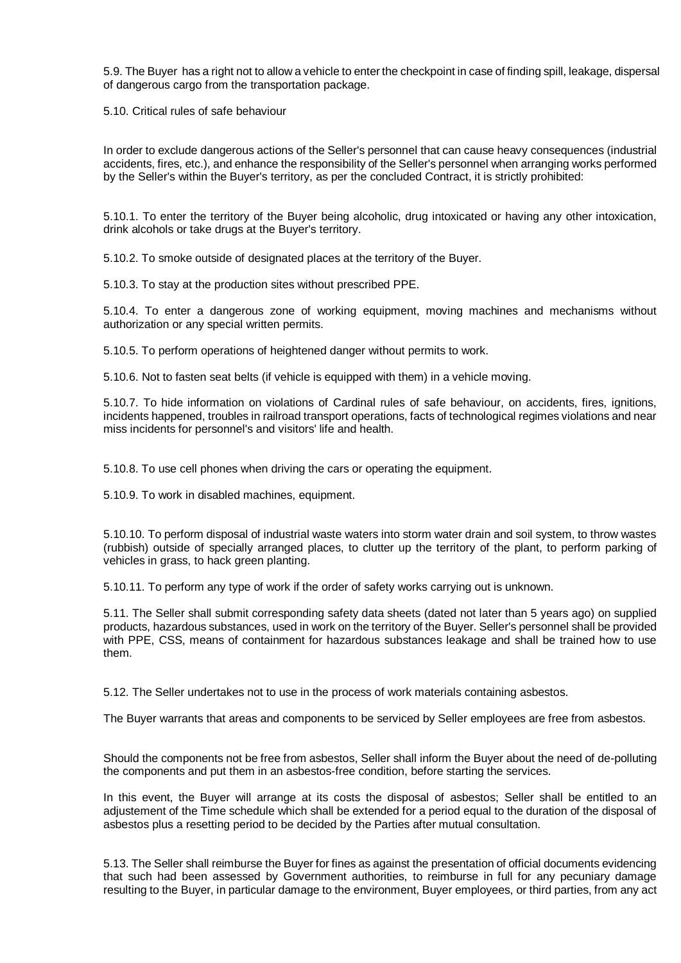5.9. The Buyer has a right not to allow a vehicle to enter the checkpoint in case of finding spill, leakage, dispersal of dangerous cargo from the transportation package.

5.10. Critical rules of safe behaviour

In order to exclude dangerous actions of the Seller's personnel that can cause heavy consequences (industrial accidents, fires, etc.), and enhance the responsibility of the Seller's personnel when arranging works performed by the Seller's within the Buyer's territory, as per the concluded Contract, it is strictly prohibited:

5.10.1. To enter the territory of the Buyer being alcoholic, drug intoxicated or having any other intoxication, drink alcohols or take drugs at the Buyer's territory.

5.10.2. To smoke outside of designated places at the territory of the Buyer.

5.10.3. To stay at the production sites without prescribed PPE.

5.10.4. To enter a dangerous zone of working equipment, moving machines and mechanisms without authorization or any special written permits.

5.10.5. To perform operations of heightened danger without permits to work.

5.10.6. Not to fasten seat belts (if vehicle is equipped with them) in a vehicle moving.

5.10.7. To hide information on violations of Cardinal rules of safe behaviour, on accidents, fires, ignitions, incidents happened, troubles in railroad transport operations, facts of technological regimes violations and near miss incidents for personnel's and visitors' life and health.

5.10.8. To use cell phones when driving the cars or operating the equipment.

5.10.9. To work in disabled machines, equipment.

5.10.10. To perform disposal of industrial waste waters into storm water drain and soil system, to throw wastes (rubbish) outside of specially arranged places, to clutter up the territory of the plant, to perform parking of vehicles in grass, to hack green planting.

5.10.11. To perform any type of work if the order of safety works carrying out is unknown.

5.11. The Seller shall submit corresponding safety data sheets (dated not later than 5 years ago) on supplied products, hazardous substances, used in work on the territory of the Buyer. Seller's personnel shall be provided with PPE, CSS, means of containment for hazardous substances leakage and shall be trained how to use them.

5.12. The Seller undertakes not to use in the process of work materials containing asbestos.

The Buyer warrants that areas and components to be serviced by Seller employees are free from asbestos.

Should the components not be free from asbestos, Seller shall inform the Buyer about the need of de-polluting the components and put them in an asbestos-free condition, before starting the services.

In this event, the Buyer will arrange at its costs the disposal of asbestos; Seller shall be entitled to an adjustement of the Time schedule which shall be extended for a period equal to the duration of the disposal of asbestos plus a resetting period to be decided by the Parties after mutual consultation.

5.13. The Seller shall reimburse the Buyer for fines as against the presentation of official documents evidencing that such had been assessed by Government authorities, to reimburse in full for any pecuniary damage resulting to the Buyer, in particular damage to the environment, Buyer employees, or third parties, from any act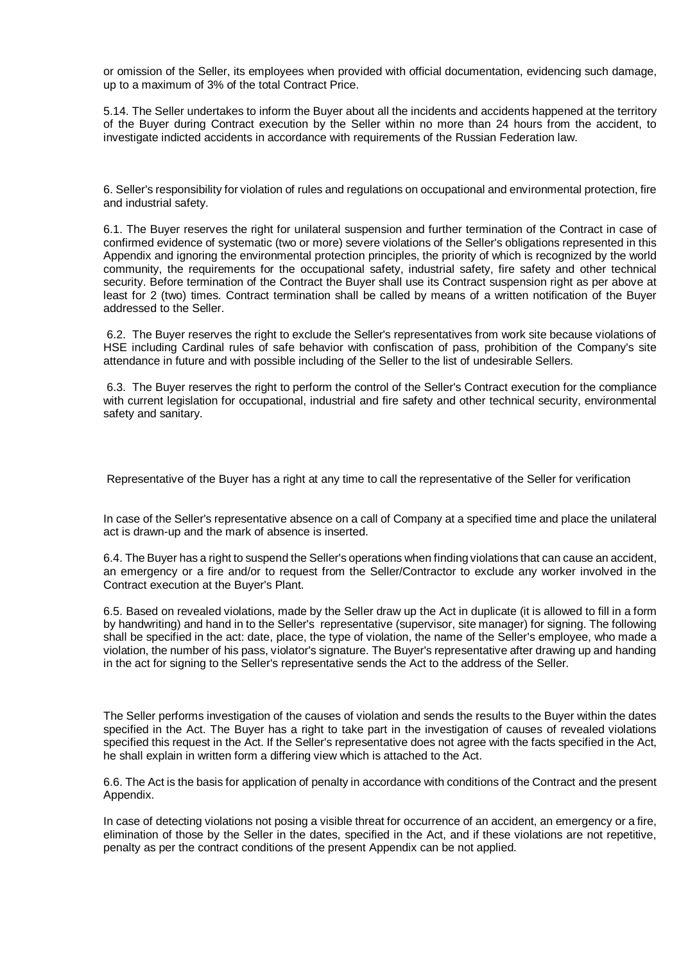or omission of the Seller, its employees when provided with official documentation, evidencing such damage, up to a maximum of 3% of the total Contract Price.

5.14. The Seller undertakes to inform the Buyer about all the incidents and accidents happened at the territory of the Buyer during Contract execution by the Seller within no more than 24 hours from the accident, to investigate indicted accidents in accordance with requirements of the Russian Federation law.

6. Seller's responsibility for violation of rules and regulations on occupational and environmental protection, fire and industrial safety.

6.1. The Buyer reserves the right for unilateral suspension and further termination of the Contract in case of confirmed evidence of systematic (two or more) severe violations of the Seller's obligations represented in this Appendix and ignoring the environmental protection principles, the priority of which is recognized by the world community, the requirements for the occupational safety, industrial safety, fire safety and other technical security. Before termination of the Contract the Buyer shall use its Contract suspension right as per above at least for 2 (two) times. Contract termination shall be called by means of a written notification of the Buyer addressed to the Seller.

6.2. The Buyer reserves the right to exclude the Seller's representatives from work site because violations of HSE including Cardinal rules of safe behavior with confiscation of pass, prohibition of the Company's site attendance in future and with possible including of the Seller to the list of undesirable Sellers.

6.3. The Buyer reserves the right to perform the control of the Seller's Contract execution for the compliance with current legislation for occupational, industrial and fire safety and other technical security, environmental safety and sanitary.

Representative of the Buyer has a right at any time to call the representative of the Seller for verification

In case of the Seller's representative absence on a call of Company at a specified time and place the unilateral act is drawn-up and the mark of absence is inserted.

6.4. The Buyer has a right to suspend the Seller's operations when finding violations that can cause an accident, an emergency or a fire and/or to request from the Seller/Contractor to exclude any worker involved in the Contract execution at the Buyer's Plant.

6.5. Based on revealed violations, made by the Seller draw up the Act in duplicate (it is allowed to fill in a form by handwriting) and hand in to the Seller's representative (supervisor, site manager) for signing. The following shall be specified in the act: date, place, the type of violation, the name of the Seller's employee, who made a violation, the number of his pass, violator's signature. The Buyer's representative after drawing up and handing in the act for signing to the Seller's representative sends the Act to the address of the Seller.

The Seller performs investigation of the causes of violation and sends the results to the Buyer within the dates specified in the Act. The Buyer has a right to take part in the investigation of causes of revealed violations specified this request in the Act. If the Seller's representative does not agree with the facts specified in the Act, he shall explain in written form a differing view which is attached to the Act.

6.6. The Act is the basis for application of penalty in accordance with conditions of the Contract and the present Appendix.

In case of detecting violations not posing a visible threat for occurrence of an accident, an emergency or a fire, elimination of those by the Seller in the dates, specified in the Act, and if these violations are not repetitive, penalty as per the contract conditions of the present Appendix can be not applied.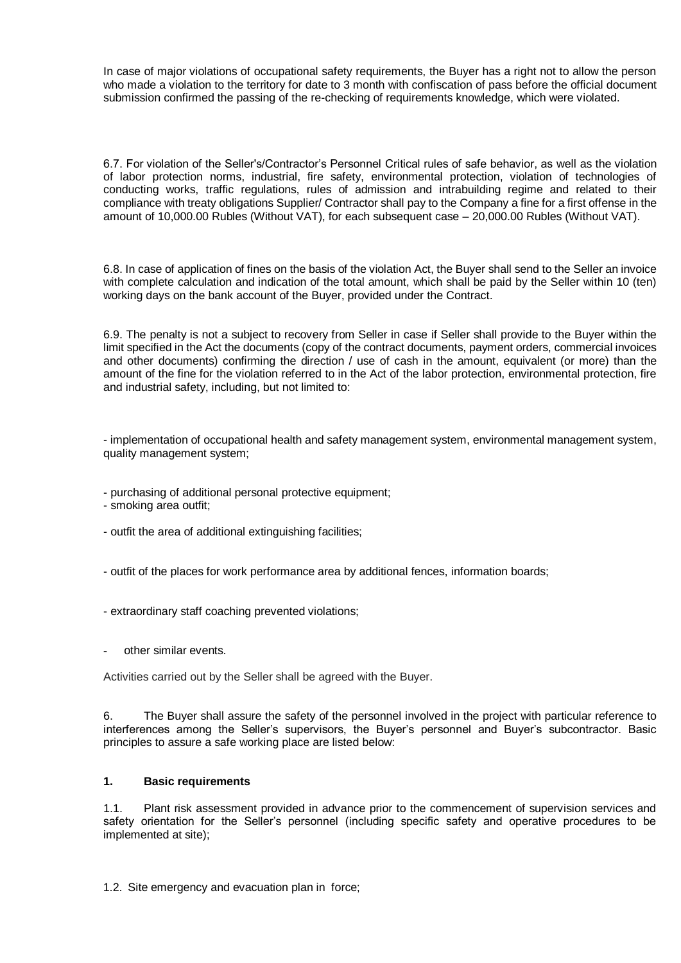In case of major violations of occupational safety requirements, the Buyer has a right not to allow the person who made a violation to the territory for date to 3 month with confiscation of pass before the official document submission confirmed the passing of the re-checking of requirements knowledge, which were violated.

6.7. For violation of the Seller's/Contractor's Personnel Critical rules of safe behavior, as well as the violation of labor protection norms, industrial, fire safety, environmental protection, violation of technologies of conducting works, traffic regulations, rules of admission and intrabuilding regime and related to their compliance with treaty obligations Supplier/ Contractor shall pay to the Company a fine for a first offense in the amount of 10,000.00 Rubles (Without VAT), for each subsequent case – 20,000.00 Rubles (Without VAT).

6.8. In case of application of fines on the basis of the violation Act, the Buyer shall send to the Seller an invoice with complete calculation and indication of the total amount, which shall be paid by the Seller within 10 (ten) working days on the bank account of the Buyer, provided under the Contract.

6.9. The penalty is not a subject to recovery from Seller in case if Seller shall provide to the Buyer within the limit specified in the Act the documents (copy of the contract documents, payment orders, commercial invoices and other documents) confirming the direction / use of cash in the amount, equivalent (or more) than the amount of the fine for the violation referred to in the Act of the labor protection, environmental protection, fire and industrial safety, including, but not limited to:

- implementation of occupational health and safety management system, environmental management system, quality management system;

- purchasing of additional personal protective equipment;
- smoking area outfit;
- outfit the area of additional extinguishing facilities;
- outfit of the places for work performance area by additional fences, information boards;
- extraordinary staff coaching prevented violations;
- other similar events.

Activities carried out by the Seller shall be agreed with the Buyer.

6. The Buyer shall assure the safety of the personnel involved in the project with particular reference to interferences among the Seller's supervisors, the Buyer's personnel and Buyer's subcontractor. Basic principles to assure a safe working place are listed below:

### **1. Basic requirements**

1.1. Plant risk assessment provided in advance prior to the commencement of supervision services and safety orientation for the Seller's personnel (including specific safety and operative procedures to be implemented at site);

1.2. Site emergency and evacuation plan in force;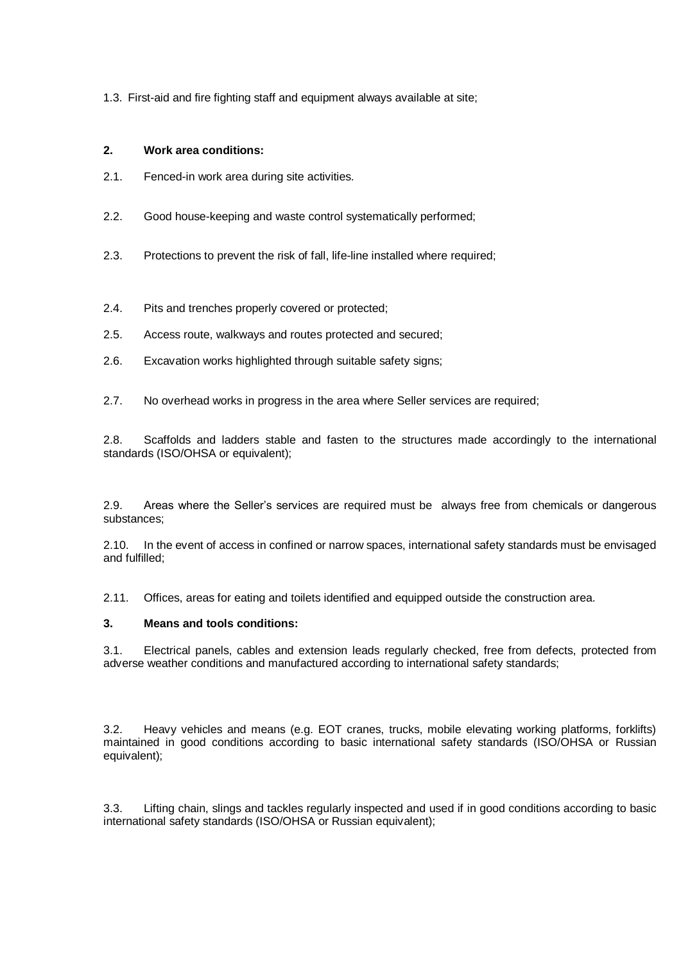1.3. First-aid and fire fighting staff and equipment always available at site;

### **2. Work area conditions:**

- 2.1. Fenced-in work area during site activities.
- 2.2. Good house-keeping and waste control systematically performed;
- 2.3. Protections to prevent the risk of fall, life-line installed where required;
- 2.4. Pits and trenches properly covered or protected;
- 2.5. Access route, walkways and routes protected and secured;
- 2.6. Excavation works highlighted through suitable safety signs;
- 2.7. No overhead works in progress in the area where Seller services are required;

2.8. Scaffolds and ladders stable and fasten to the structures made accordingly to the international standards (ISO/OHSA or equivalent);

2.9. Areas where the Seller's services are required must be always free from chemicals or dangerous substances;

2.10. In the event of access in confined or narrow spaces, international safety standards must be envisaged and fulfilled;

2.11. Offices, areas for eating and toilets identified and equipped outside the construction area.

## **3. Means and tools conditions:**

3.1. Electrical panels, cables and extension leads regularly checked, free from defects, protected from adverse weather conditions and manufactured according to international safety standards;

3.2. Heavy vehicles and means (e.g. EOT cranes, trucks, mobile elevating working platforms, forklifts) maintained in good conditions according to basic international safety standards (ISO/OHSA or Russian equivalent);

3.3. Lifting chain, slings and tackles regularly inspected and used if in good conditions according to basic international safety standards (ISO/OHSA or Russian equivalent);